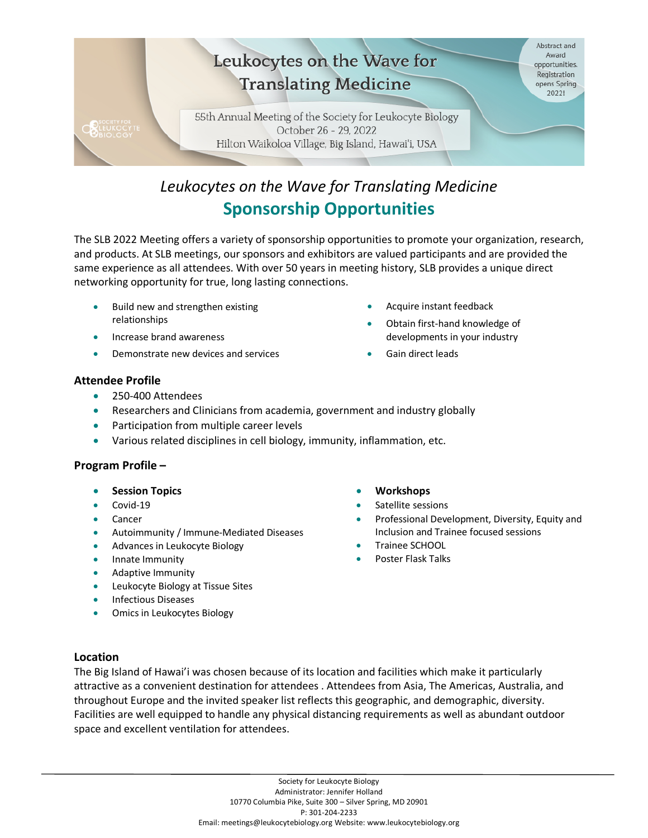

## *Leukocytes on the Wave for Translating Medicine* **Sponsorship Opportunities**

The SLB 2022 Meeting offers a variety of sponsorship opportunities to promote your organization, research, and products. At SLB meetings, our sponsors and exhibitors are valued participants and are provided the same experience as all attendees. With over 50 years in meeting history, SLB provides a unique direct networking opportunity for true, long lasting connections.

- Build new and strengthen existing relationships
- Increase brand awareness
- Demonstrate new devices and services
- Acquire instant feedback
- Obtain first-hand knowledge of developments in your industry
- Gain direct leads

#### **Attendee Profile**

- 250-400 Attendees
- Researchers and Clinicians from academia, government and industry globally
- Participation from multiple career levels
- Various related disciplines in cell biology, immunity, inflammation, etc.

#### **Program Profile –**

- **Session Topics**
- Covid-19
- **Cancer**
- Autoimmunity / Immune-Mediated Diseases
- Advances in Leukocyte Biology
- Innate Immunity
- Adaptive Immunity
- Leukocyte Biology at Tissue Sites
- Infectious Diseases
- Omics in Leukocytes Biology
- **Workshops**
- Satellite sessions
- Professional Development, Diversity, Equity and Inclusion and Trainee focused sessions
- Trainee SCHOOL
- Poster Flask Talks

#### **Location**

The Big Island of Hawai'i was chosen because of its location and facilities which make it particularly attractive as a convenient destination for attendees . Attendees from Asia, The Americas, Australia, and throughout Europe and the invited speaker list reflects this geographic, and demographic, diversity. Facilities are well equipped to handle any physical distancing requirements as well as abundant outdoor space and excellent ventilation for attendees.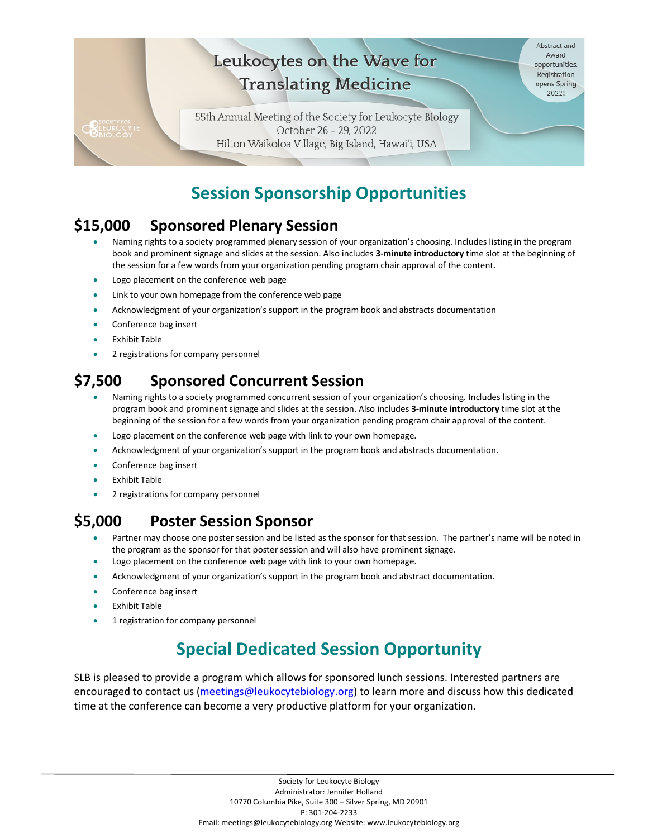#### Abstract and Leukocytes on the Wave for Award opportunities. Registration **Translating Medicine** opens Spring  $2022!$ 55th Annual Meeting of the Society for Leukocyte Biology **BLEUKOCYT** October 26 - 29, 2022 Hilton Waikoloa Village, Big Island, Hawai'i, USA

## **Session Sponsorship Opportunities**

#### **\$15,000 Sponsored Plenary Session**

- Naming rights to a society programmed plenary session of your organization's choosing. Includes listing in the program book and prominent signage and slides at the session. Also includes **3-minute introductory** time slot at the beginning of the session for a few words from your organization pending program chair approval of the content.
- Logo placement on the conference web page
- Link to your own homepage from the conference web page
- Acknowledgment of your organization's support in the program book and abstracts documentation
- Conference bag insert
- **Exhibit Table**
- 2 registrations for company personnel

#### **\$7,500 Sponsored Concurrent Session**

- Naming rights to a society programmed concurrent session of your organization's choosing. Includes listing in the program book and prominent signage and slides at the session. Also includes **3-minute introductory** time slot at the beginning of the session for a few words from your organization pending program chair approval of the content.
- Logo placement on the conference web page with link to your own homepage.
- Acknowledgment of your organization's support in the program book and abstracts documentation.
- Conference bag insert
- **Exhibit Table**
- 2 registrations for company personnel

### **\$5,000 Poster Session Sponsor**

- Partner may choose one poster session and be listed as the sponsor for that session. The partner's name will be noted in the program as the sponsor for that poster session and will also have prominent signage.
- Logo placement on the conference web page with link to your own homepage.
- Acknowledgment of your organization's support in the program book and abstract documentation.
- Conference bag insert
- **Exhibit Table**
- 1 registration for company personnel

# **Special Dedicated Session Opportunity**

SLB is pleased to provide a program which allows for sponsored lunch sessions. Interested partners are encouraged to contact us [\(meetings@leukocytebiology.org\)](mailto:meetings@leukocytebiology.org) to learn more and discuss how this dedicated time at the conference can become a very productive platform for your organization.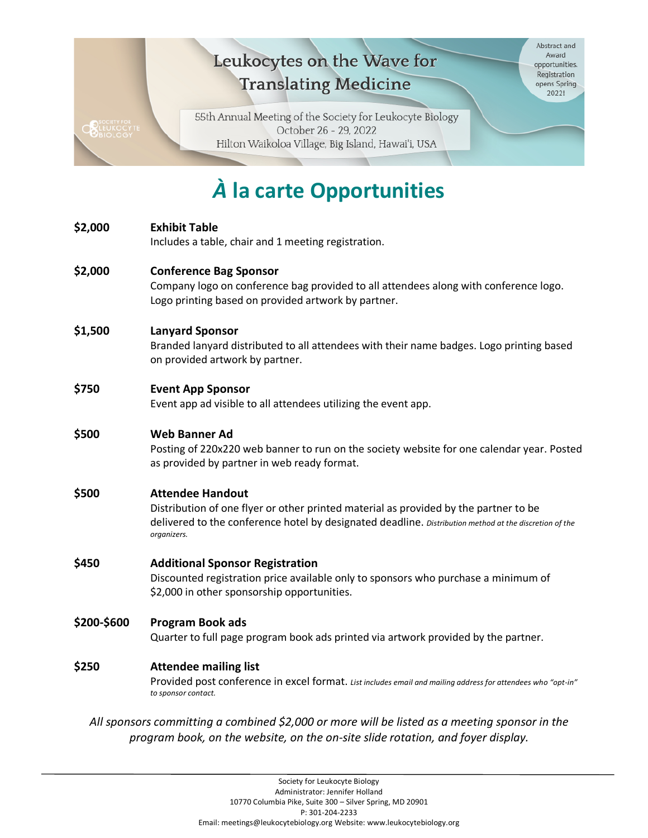# Leukocytes on the Wave for **Translating Medicine**

Abstract and Award opportunities. Registration opens Spring  $2022!$ 

55th Annual Meeting of the Society for Leukocyte Biology October 26 - 29, 2022 Hilton Waikoloa Village, Big Island, Hawai'i, USA

**ONEUKOCYTE** 

# *À* **la carte Opportunities**

| Company logo on conference bag provided to all attendees along with conference logo.                                                                                        |  |
|-----------------------------------------------------------------------------------------------------------------------------------------------------------------------------|--|
|                                                                                                                                                                             |  |
|                                                                                                                                                                             |  |
| Branded lanyard distributed to all attendees with their name badges. Logo printing based                                                                                    |  |
|                                                                                                                                                                             |  |
|                                                                                                                                                                             |  |
| Posting of 220x220 web banner to run on the society website for one calendar year. Posted                                                                                   |  |
|                                                                                                                                                                             |  |
|                                                                                                                                                                             |  |
|                                                                                                                                                                             |  |
| delivered to the conference hotel by designated deadline. Distribution method at the discretion of the                                                                      |  |
|                                                                                                                                                                             |  |
| <b>Additional Sponsor Registration</b><br>Discounted registration price available only to sponsors who purchase a minimum of<br>\$2,000 in other sponsorship opportunities. |  |
|                                                                                                                                                                             |  |
|                                                                                                                                                                             |  |
|                                                                                                                                                                             |  |
| Provided post conference in excel format. List includes email and mailing address for attendees who "opt-in"                                                                |  |
| All sponsors committing a combined \$2,000 or more will be listed as a meeting sponsor in the                                                                               |  |
|                                                                                                                                                                             |  |
|                                                                                                                                                                             |  |